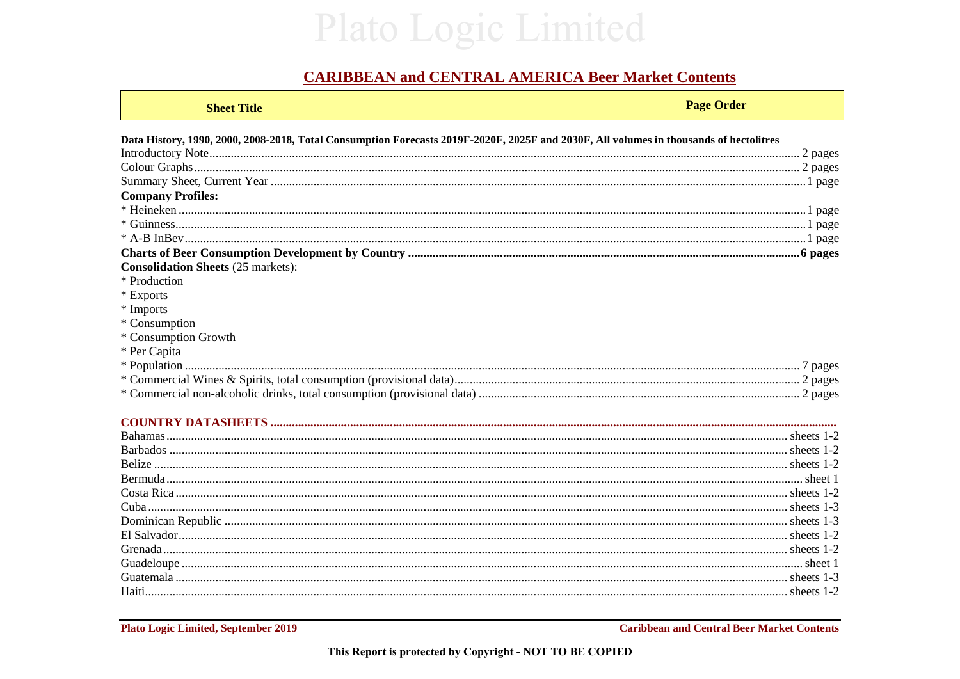## Plato Logic Limited

## **CARIBBEAN and CENTRAL AMERICA Beer Market Contents**

| <b>Sheet Title</b>                                                                                                                     | <b>Page Order</b> |
|----------------------------------------------------------------------------------------------------------------------------------------|-------------------|
| Data History, 1990, 2000, 2008-2018, Total Consumption Forecasts 2019F-2020F, 2025F and 2030F, All volumes in thousands of hectolitres |                   |
|                                                                                                                                        |                   |
|                                                                                                                                        |                   |
|                                                                                                                                        |                   |
| <b>Company Profiles:</b>                                                                                                               |                   |
|                                                                                                                                        |                   |
|                                                                                                                                        |                   |
|                                                                                                                                        |                   |
|                                                                                                                                        |                   |
| <b>Consolidation Sheets (25 markets):</b>                                                                                              |                   |
| * Production                                                                                                                           |                   |
| * Exports                                                                                                                              |                   |
| * Imports                                                                                                                              |                   |
| * Consumption                                                                                                                          |                   |
| * Consumption Growth                                                                                                                   |                   |
| * Per Capita                                                                                                                           |                   |
|                                                                                                                                        |                   |
|                                                                                                                                        |                   |
|                                                                                                                                        |                   |
|                                                                                                                                        |                   |
|                                                                                                                                        |                   |
|                                                                                                                                        |                   |
|                                                                                                                                        |                   |
|                                                                                                                                        |                   |

| Haiti. |  |
|--------|--|
|        |  |

**Plato Logic Limited, September 2019** 

**Caribbean and Central Beer Market Contents**